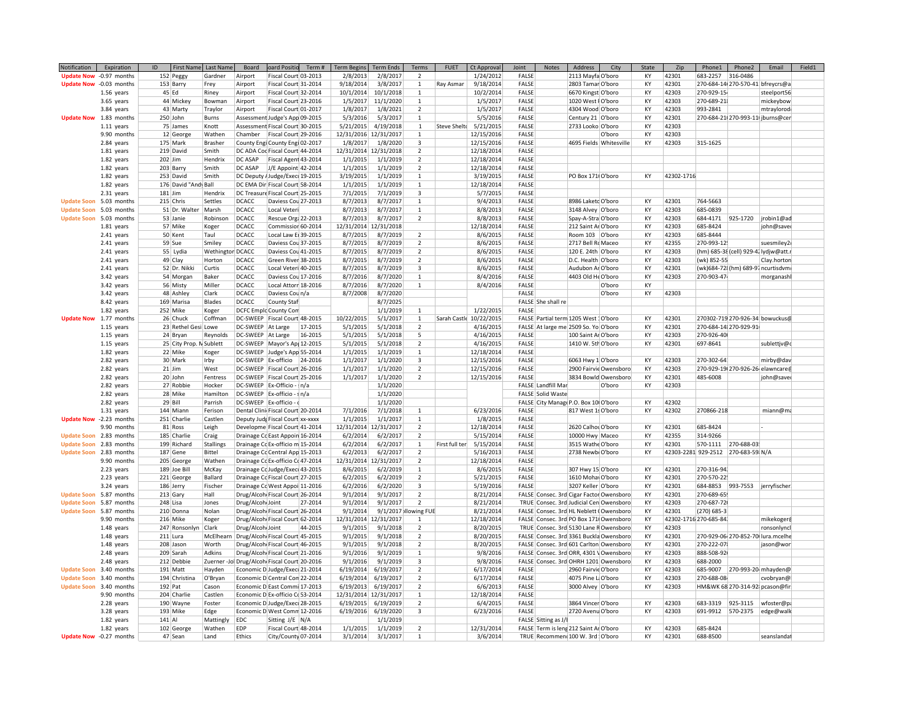| Notification            | Expiration  | ID<br>First Name Last Name |                  | Board                                        | oard Positio                      | Term#   | <b>Term Begins</b>    | <b>Term Ends</b>    | Terms                    | <b>FUET</b>         | Ct Approval | Joint               | <b>Notes</b> | Address                                  | City                 | State | $7$ in     | Phone1                             | Phone2                             | Email                                 | Field1 |
|-------------------------|-------------|----------------------------|------------------|----------------------------------------------|-----------------------------------|---------|-----------------------|---------------------|--------------------------|---------------------|-------------|---------------------|--------------|------------------------------------------|----------------------|-------|------------|------------------------------------|------------------------------------|---------------------------------------|--------|
| Update Now -0.97 months |             | 152 Peggy                  | Gardner          | Airport                                      | Fiscal Court 03-2013              |         | 2/8/2013              | 2/8/2017            | $\overline{\phantom{a}}$ |                     | 1/24/2012   | FALSE               |              | 2113 Mayfa O'boro                        |                      | KY    | 42301      | 683-2257                           | 316-0486                           |                                       |        |
| Update Now -0.03 months |             | 153 Barry                  | Frey             | Airport                                      | Fiscal Court 31-2014              |         | 9/18/2014             | 3/8/2017            | $\mathbf{1}$             | Ray Asmar           | 9/18/2014   | FALSE               |              | 2803 Tamar O'boro                        |                      | КY    | 42301      | 270-684-14 270-570-41 bfreycrs@a   |                                    |                                       |        |
|                         | 1.56 years  | $45$ Ed                    | Riney            | Airport                                      | Fiscal Court 32-2014              |         |                       | 10/1/2014 10/1/2018 | 1                        |                     | 10/2/2014   | FALSE               |              | 6670 Kingst O'boro                       |                      | KY    | 42303      | 270-929-15                         |                                    | steelport56                           |        |
|                         | 3.65 years  | 44 Mickey                  | Bowman           | Airport                                      | Fiscal Court 23-2016              |         |                       | 1/5/2017 11/1/2020  | 1                        |                     | 1/5/2017    | FALSE               |              | 1020 West   O'boro                       |                      | KY    | 42303      | 270-689-21                         |                                    | mickeybowi                            |        |
|                         | 3.84 years  | 43 Marty                   | Traylor          | Airport                                      | Fiscal Court 01-2017              |         | 1/8/2017              | 1/8/2021            | $\overline{2}$           |                     | 1/5/2017    | FALSE               |              | 4304 Wood O'boro                         |                      | KY    | 42303      | 993-2841                           |                                    | mtraylorod                            |        |
| Update Now 1.83 months  |             | 250 John                   | Burns            |                                              | Assessment Judge's App 09-2015    |         | 5/3/2016              | 5/3/2017            | $\mathbf{1}$             |                     | 5/5/2016    | FALSE               |              | Century 21 O'boro                        |                      | KY    | 42301      |                                    |                                    | 270-684-21 270-993-11 jburns@cen      |        |
|                         |             |                            | Knott            |                                              | Assessment Fiscal Court 30-2015   |         |                       |                     | $\mathbf{1}$             | <b>Steve Shelto</b> |             | FALSE               |              |                                          |                      | KY    | 42303      |                                    |                                    |                                       |        |
|                         | 1.11 years  | 75 James                   |                  |                                              |                                   |         |                       | 5/21/2015 4/19/2018 |                          |                     | 5/21/2015   |                     |              | 2733 Looko O'boro                        |                      |       |            |                                    |                                    |                                       |        |
|                         | 9.90 months | 12 George                  | Wathen           |                                              | Chamber   Fiscal Court 29-2016    |         | 12/31/2016 12/31/2017 |                     | $\mathbf{1}$             |                     | 12/15/2016  | FALSE               |              |                                          | O'boro               | KY    | 42303      |                                    |                                    |                                       |        |
|                         | 2.84 years  | 175 Mark                   | Brasher          |                                              | County Engi County Engi 02-2017   |         | 1/8/2017              | 1/8/2020            | 3                        |                     | 12/15/2016  | FALSE               |              | 4695 Fields Whitesville                  |                      | KY    | 42303      | 315-1625                           |                                    |                                       |        |
|                         | 1.81 years  | 219 David                  | Smith            |                                              | DC ADA Coc Fiscal Court 44-2014   |         | 12/31/2014 12/31/2018 |                     | $\overline{z}$           |                     | 12/18/2014  | FALSE               |              |                                          |                      |       |            |                                    |                                    |                                       |        |
|                         | 1.82 years  | $202$ Jim                  | Hendrix          | DC ASAP                                      | Fiscal Agent 43-2014              |         | 1/1/2015              | 1/1/2019            | $\overline{2}$           |                     | 12/18/2014  | FALSE               |              |                                          |                      |       |            |                                    |                                    |                                       |        |
|                         | 1.82 years  | 203 Barry                  | Smith            | DC ASAP                                      | J/E Appoint 42-2014               |         | 1/1/2015              | 1/1/2019            | $\overline{2}$           |                     | 12/18/2014  | FALSE               |              |                                          |                      |       |            |                                    |                                    |                                       |        |
|                         | 1.82 years  | 253 David                  | Smith            |                                              | DC Deputy / Judge/Exec 19-2015    |         | 3/19/2015             | 1/1/2019            | $\mathbf{1}$             |                     | 3/19/2015   | FALSE               |              | PO Box 171 O'boro                        |                      | KY    | 42302-1716 |                                    |                                    |                                       |        |
|                         | 1.82 years  | 176 David "Andy Ball       |                  |                                              | DC EMA Dir Fiscal Court 58-2014   |         | 1/1/2015              | 1/1/2019            | $\mathbf{1}$             |                     | 12/18/2014  | FALSE               |              |                                          |                      |       |            |                                    |                                    |                                       |        |
|                         | 2.31 years  | $181$ Jim                  | Hendrix          |                                              | DC Treasure Fiscal Court 25-2015  |         | 7/1/2015              | 7/1/2019            | 3                        |                     | 5/7/2015    | FALSE               |              |                                          |                      |       |            |                                    |                                    |                                       |        |
| Update Soon 5.03 months |             | 215 Chris                  | Settles          | DCACC.                                       | Daviess Cou 27-2013               |         | 8/7/2013              | 8/7/2017            | $\mathbf{1}$             |                     | 9/4/2013    | FALSE               |              | 8986 Laketc O'boro                       |                      | KY    | 42301      | 764-5663                           |                                    |                                       |        |
| Update Soon 5.03 months |             | 51 Dr. Walter   Marsh      |                  | <b>DCACC</b>                                 | Local Veteri                      |         | 8/7/2013              | 8/7/2017            | 1                        |                     | 8/8/2013    | FALSE               |              | 3148 Alvey O'boro                        |                      | KY    | 42303      | 685-0839                           |                                    |                                       |        |
| Update Soon 5.03 months |             | 53 Janie                   | Robinson         | <b>DCACC</b>                                 | Rescue Orgi 22-2013               |         | 8/7/2013              | 8/7/2017            | $\overline{2}$           |                     | 8/8/2013    | FALSE               |              | Spay-A-Stra O'boro                       |                      | KY    | 42303      | 684-4171                           | 925-1720                           | jrobin1@ad                            |        |
|                         | 1.81 years  | 57 Mike                    | Koger            | DCACC                                        | Commissior 60-2014                |         | 12/31/2014 12/31/2018 |                     |                          |                     | 12/18/2014  | FALSE               |              | 212 Saint Al O'boro                      |                      | KY    | 42303      | 685-8424                           |                                    | john@saved                            |        |
|                         | 2.41 years  | 50 Kent                    | Taul             | <b>DCACC</b>                                 | Local Law E 39-2015               |         | 8/7/2015              | 8/7/2019            | $\overline{2}$           |                     | 8/6/2015    | FALSE               |              | Room 103 O'boro                          |                      | KY    | 42303      | 685-8444                           |                                    |                                       |        |
|                         | 2.41 years  | 59 Sue                     | Smiley           | DCACC                                        | Daviess Cou 37-2015               |         | 8/7/2015              | 8/7/2019            | $\overline{2}$           |                     | 8/6/2015    | FALSE               |              | 2717 Bell Ro Maceo                       |                      | KY    | 42355      | 270-993-12                         |                                    | suesmiley2(                           |        |
|                         | 2.41 years  | 55 Lydia                   | Wethington DCACC |                                              | Daviess Cou 41-2015               |         | 8/7/2015              | 8/7/2019            | $\overline{2}$           |                     | 8/6/2015    | FALSE               |              | 120 E. 24th O'boro                       |                      | KY    | 42303      |                                    |                                    | (hm) 685-38 (cell) 929-4. lydjw@att.r |        |
|                         | 2.41 years  | 49 Clay                    | Horton           | <b>DCACC</b>                                 | Green River 38-2015               |         | 8/7/2015              | 8/7/2019            | $\overline{2}$           |                     | 8/6/2015    | FALSE               |              | D.C. Health O'boro                       |                      | KY    | 42303      | (wk) 852-55                        |                                    | Clay.horton                           |        |
|                         |             |                            |                  |                                              |                                   |         |                       |                     |                          |                     |             |                     |              |                                          |                      |       |            |                                    |                                    |                                       |        |
|                         | 2.41 years  | 52 Dr. Nikki               | Curtis           | DCACC                                        | Local Veteri 40-2015              |         | 8/7/2015              | 8/7/2019            | $\overline{3}$           |                     | 8/6/2015    | FALSE               |              | Audubon Ar O'boro                        |                      | KY    | 42301      |                                    | (wk)684-72 (hm) 689-97 ncurtisdvm( |                                       |        |
|                         | 3.42 years  | 54 Morgan                  | Baker            | <b>DCACC</b>                                 | Daviess Cou 17-2016               |         | 8/7/2016              | 8/7/2020            | $\mathbf{1}$             |                     | 8/4/2016    | FALSE               |              | 4403 Old He O'boro                       |                      | KY    | 42303      | 270-903-47                         |                                    | morganashl                            |        |
|                         | 3.42 years  | 56 Misty                   | Miller           | <b>DCACC</b>                                 | Local Attorr 18-2016              |         | 8/7/2016              | 8/7/2020            | 1                        |                     | 8/4/2016    | FALSE               |              |                                          | O'boro               | KY    |            |                                    |                                    |                                       |        |
|                         | 3.42 years  | 48 Ashley                  | Clark            | <b>DCACC</b>                                 | Daviess Coun/a                    |         | 8/7/2008              | 8/7/2020            |                          |                     |             | FALSE               |              |                                          | O'boro               | KY    | 42303      |                                    |                                    |                                       |        |
|                         | 8.42 years  | 169 Marisa                 | Blades           | <b>DCACC</b>                                 | County Staf                       |         |                       | 8/7/2025            |                          |                     |             | FALSE She shall re  |              |                                          |                      |       |            |                                    |                                    |                                       |        |
|                         | 1.82 years  | 252 Mike                   | Koger            |                                              | DCFC Emplc County Con             |         |                       | 1/1/2019            | $\mathbf{1}$             |                     | 1/22/2015   | FALSE               |              |                                          |                      |       |            |                                    |                                    |                                       |        |
| Update Now 1.77 months  |             | 26 Chuck                   | Coffman          |                                              | DC-SWEEP Fiscal Court 48-2015     |         | 10/22/2015            | 5/1/2017            | $\mathbf{1}$             | Sarah Castle        | 10/22/2015  |                     |              | FALSE Partial term 1205 West : O'boro    |                      | KY    | 42301      |                                    |                                    | 270302-719 270-926-34 bowuckus@       |        |
|                         | 1.15 years  | 23 Rethel Gesi Lowe        |                  | DC-SWEEP At Large                            |                                   | 17-2015 | 5/1/2015              | 5/1/2018            | $\overline{2}$           |                     | 4/16/2015   |                     |              | FALSE At large me 2509 So. Yo O'boro     |                      | KY    | 42301      | 270-684-14 270-929-91              |                                    |                                       |        |
|                         | 1.15 years  | 24 Bryan                   | Reynolds         | DC-SWEEP At Large                            |                                   | 16-2015 | 5/1/2015              | 5/1/2018            | 5                        |                     | 4/16/2015   | FALSE               |              | 100 Saint Ai O'boro                      |                      | KY    | 42303      | 270-926-40                         |                                    |                                       |        |
|                         | 1.15 years  | 25 City Prop. N Sublett    |                  |                                              | DC-SWEEP   Mayor's Ap   12-2015   |         | 5/1/2015              | 5/1/2018            | $\overline{2}$           |                     | 4/16/2015   | FALSE               |              | 1410 W. 5th O'boro                       |                      | KY    | 42301      | 697-8641                           |                                    | sublettjv@c                           |        |
|                         | 1.82 years  | 22 Mike                    | Koger            |                                              | DC-SWEEP Judge's App 55-2014      |         | 1/1/2015              | 1/1/2019            | 1                        |                     | 12/18/2014  | <b>FALSE</b>        |              |                                          |                      |       |            |                                    |                                    |                                       |        |
|                         | 2.82 years  | 30 Mark                    | Irby             |                                              | DC-SWEEP Ex-officio 24-2016       |         | 1/1/2017              | 1/1/2020            | 3                        |                     | 12/15/2016  | FALSE               |              | 6063 Hwy 1 O'boro                        |                      | KY    | 42303      | 270-302-64                         |                                    | mirby@dav                             |        |
|                         | 2.82 years  | $21$ Jim                   | West             |                                              | DC-SWEEP Fiscal Court 26-2016     |         | 1/1/2017              | 1/1/2020            | $\overline{\phantom{a}}$ |                     | 12/15/2016  | FALSE               |              | 2900 Fairvie Owensboro                   |                      | KY    | 42303      |                                    |                                    | 270-929-19 270-926-26 elawncare@      |        |
|                         | 2.82 years  | 20 John                    | <b>Fentress</b>  |                                              | DC-SWEEP Fiscal Court 25-2016     |         | 1/1/2017              | 1/1/2020            | $\overline{2}$           |                     | 12/15/2016  | FALSE               |              |                                          | 3834 Bowld Owensboro | KY    | 42301      | 485-6008                           |                                    | john@saved                            |        |
|                         | 2.82 years  | 27 Robbie                  | Hocker           |                                              | DC-SWEEP   Ex-Officio -   n/a     |         |                       | 1/1/2020            |                          |                     |             | FALSE Landfill Mar  |              |                                          | O'boro               | КY    | 42303      |                                    |                                    |                                       |        |
|                         | 2.82 years  | 28 Mike                    | Hamilton         |                                              | DC-SWEEP Ex-officio - s n/a       |         |                       | 1/1/2020            |                          |                     |             | FALSE Solid Waste   |              |                                          |                      |       |            |                                    |                                    |                                       |        |
|                         | 2.82 years  | $29$ Bill                  | Parrish          |                                              | DC-SWEEP Ex-officio - d           |         |                       | 1/1/2020            |                          |                     |             |                     |              | FALSE City Manag P.O. Box 10 O'boro      |                      | KY    | 42302      |                                    |                                    |                                       |        |
|                         | 1.31 years  | 144 Miann                  | Ferison          |                                              | Dental Clini Fiscal Court 20-2014 |         | 7/1/2016              | 7/1/2018            | 1                        |                     | 6/23/2016   | FALSE               |              | 817 West 1: O'boro                       |                      | KY    | 42302      | 270866-218                         |                                    | miann@ma                              |        |
| Update Now -2.23 months |             | 251 Charlie                | Castlen          |                                              | Deputy Judg Fiscal Court xx-xxxx  |         | 1/1/2015              | 1/1/2017            | $\mathbf{1}$             |                     | 1/8/2015    | FALSE               |              |                                          |                      |       |            |                                    |                                    |                                       |        |
|                         | 9.90 months | 81 Ross                    | Leigh            |                                              | Developme Fiscal Court 41-2014    |         | 12/31/2014 12/31/2017 |                     | $\overline{2}$           |                     | 12/18/2014  | FALSE               |              | 2620 Calhol O'boro                       |                      | KY    | 42301      | 685-8424                           |                                    |                                       |        |
|                         |             |                            |                  |                                              |                                   |         |                       |                     |                          |                     |             |                     |              |                                          |                      |       | 42355      |                                    |                                    |                                       |        |
| Update Soon 2.83 months |             | 185 Charlie                | Craig            |                                              | Drainage Cc East Appoin 16-2014   |         | 6/2/2014              | 6/2/2017            | $\overline{2}$           |                     | 5/15/2014   | FALSE               |              | 10000 Hwy Maceo                          |                      | KY    |            | 314-9266                           |                                    |                                       |        |
| Update Soon 2.83 months |             | 199 Richard                | <b>Stallings</b> |                                              | Drainage Cc Ex-officio m 15-2014  |         | 6/2/2014              | 6/2/2017            | $\mathbf{1}$             | First full ter      | 5/15/2014   | FALSE               |              | 3515 Wathe O'boro                        |                      | KY    | 42301      | 570-1111                           | 270-688-03                         |                                       |        |
| Update Soon 2.83 months |             | 187 Gene                   | Bittel           |                                              | Drainage Cc Central App 15-2013   |         | 6/2/2013              | 6/2/2017            | $\overline{2}$           |                     | 5/16/2013   | FALSE               |              | 2738 Newb O'boro                         |                      | KY    |            | 42303-2281 929-2512 270-683-59 N/A |                                    |                                       |        |
|                         | 9.90 months | 205 George                 | Wathen           |                                              | Drainage Cc Ex-officio Co 47-2014 |         | 12/31/2014 12/31/2017 |                     | $\overline{2}$           |                     | 12/18/2014  | FALSE               |              |                                          |                      |       |            |                                    |                                    |                                       |        |
|                         | 2.23 years  | 189 Joe Bill               | McKay            |                                              | Drainage Cc Judge/Exec 43-2015    |         | 8/6/2015              | 6/2/2019            | 1                        |                     | 8/6/2015    | FALSE               |              | 307 Hwy 15 O'boro                        |                      | KY    | 42301      | 270-316-94                         |                                    |                                       |        |
|                         | 2.23 years  | 221 George                 | Ballard          |                                              | Drainage Co Fiscal Court 27-2015  |         | 6/2/2015              | 6/2/2019            | $\overline{2}$           |                     | 5/21/2015   | FALSE               |              | 1610 Moha O'boro                         |                      | КY    | 42301      | 270-570-22                         |                                    |                                       |        |
|                         | 3.24 years  | 186 Jerry                  | Fischer          |                                              | Drainage Cc West Appoi 11-2016    |         | 6/2/2016              | 6/2/2020            | 3                        |                     | 5/19/2016   | FALSE               |              | 3207 Keller O'boro                       |                      | KY    | 42301      | 684-8853 993-7553                  |                                    | jerryfischer                          |        |
| Update Soon 5.87 months |             | 213 Gary                   | Hall             |                                              | Drug/Alcoh Fiscal Court 26-2014   |         | 9/1/2014              | 9/1/2017            | $\overline{2}$           |                     | 8/21/2014   |                     |              | FALSE Consec. 3rd Cigar Factor Owensboro |                      | KY    | 42301      | 270-689-65                         |                                    |                                       |        |
| Update Soon 5.87 months |             | 248 Lisa                   | Jones            | Drug/Alcoh Joint                             |                                   | 27-2014 | 9/1/2014              | 9/1/2017            | $\overline{2}$           |                     | 8/21/2014   |                     |              | TRUE Consec. 3rd Judicial Cen Owensboro  |                      | KY    | 42303      | 270-687-72                         |                                    |                                       |        |
| Update Soon 5.87 months |             | 210 Donna                  | Nolan            |                                              | Drug/Alcoh Fiscal Court 26-2014   |         | 9/1/2014              |                     | 9/1/2017 bllowing FUE    |                     | 8/21/2014   |                     |              | FALSE Consec. 3rd HL Neblett (Owensboro  |                      | KY    | 42301      | (270) 685-3                        |                                    |                                       |        |
|                         | 9.90 months | 216 Mike                   | Koger            |                                              | Drug/Alcoh Fiscal Court 62-2014   |         | 12/31/2014 12/31/2017 |                     | $\mathbf{1}$             |                     | 12/18/2014  |                     |              | FALSE Consec. 3rd PO Box 171 Owensboro   |                      | KY    |            | 42302-1716 270-685-84              |                                    | mikekoger@                            |        |
|                         | 1.48 years  | 247 Ronsonlyn              | Clark            | Drug/Alcoh Joint                             |                                   | 44-2015 | 9/1/2015              | 9/1/2018            | $\overline{2}$           |                     | 8/20/2015   |                     |              | TRUE Consec. 3rd 5130 Lane FOwensboro    |                      | KY    | 42303      |                                    |                                    | ronsonlyncl                           |        |
|                         | 1.48 years  | $211$ Lura                 | McElhearn        | Drug/Alcoh Fiscal Court 45-2015              |                                   |         | 9/1/2015              | 9/1/2018            | $\overline{2}$           |                     | 8/20/2015   |                     |              | FALSE Consec. 3rd 3361 Buckla Owensboro  |                      | KY    | 42301      |                                    |                                    | 270-929-06 270-852-70 lura.mcelhe     |        |
|                         | 1.48 years  | 208 Jason                  | Worth            |                                              | Drug/Alcoh Fiscal Court 46-2015   |         | 9/1/2015              | 9/1/2018            | $\overline{2}$           |                     | 8/20/2015   |                     |              | FALSE Consec. 3rd 601 Carlton Owensboro  |                      | KY    | 42301      | 270-222-07                         |                                    | jason@wor                             |        |
|                         | 2.48 years  | 209 Sarah                  | Adkins           |                                              | Drug/Alcoh Fiscal Court 21-2016   |         | 9/1/2016              | 9/1/2019            | $\mathbf{1}$             |                     | 9/8/2016    |                     |              | FALSE Consec. 3rd ORR, 4301 \Owensboro   |                      | KY    | 42303      | 888-508-92                         |                                    |                                       |        |
|                         | 2.48 years  | 212 Debbie                 |                  | Zuerner -Jol Drug/Alcoh Fiscal Court 20-2016 |                                   |         | 9/1/2016              | 9/1/2019            | 3                        |                     | 9/8/2016    |                     |              | FALSE Consec. 3rd OHRH 1201 Owensboro    |                      | KY    | 42303      | 688-2000                           |                                    |                                       |        |
| Update Soon 3.40 months |             | 191 Matt                   | Hayden           |                                              | Economic D Judge/Exec 21-2014     |         | 6/19/2014             | 6/19/2017           | $\overline{2}$           |                     | 6/17/2014   | FALSE               |              | 2960 Fairvie O'boro                      |                      | KY    | 42303      | 685-9007                           | 270-993-20 mhayden@                |                                       |        |
|                         |             | 194 Christina              |                  |                                              | Economic D Central Con 22-2014    |         | 6/19/2014             | 6/19/2017           | $\overline{\phantom{a}}$ |                     |             | FALSE               |              | 4075 Pine L O'boro                       |                      | KY    | 42303      | 270-688-08                         |                                    |                                       |        |
| Update Soon 3.40 months |             |                            | O'Bryan          |                                              |                                   |         |                       |                     |                          |                     | 6/17/2014   |                     |              |                                          |                      |       |            |                                    |                                    | cvobryan@l                            |        |
| Update Soon 3.40 months |             | 192 Pat                    | Cason            |                                              | Economic D East Commi 17-2013     |         | 6/19/2013             | 6/19/2017           | $\overline{2}$           |                     | 6/6/2013    | FALSE               |              | 3000 Alvey O'boro                        |                      | KY    | 42303      |                                    |                                    | HM&WK 68 270-314-92 pcason@fir        |        |
|                         | 9.90 months | 204 Charlie                | Castlen          |                                              | Economic D Ex-officio C 53-2014   |         | 12/31/2014 12/31/2017 |                     | 1                        |                     | 12/18/2014  | FALSE               |              |                                          |                      |       |            |                                    |                                    |                                       |        |
|                         | 2.28 years  | 190 Wayne                  | Foster           |                                              | Economic D Judge/Exec 28-2015     |         |                       | 6/19/2015 6/19/2019 | $\overline{2}$           |                     | 6/4/2015    | FALSE               |              | 3864 Vincer O'boro                       |                      | KY    | 42303      | 683-3319                           |                                    | 925-3115   wfoster@pa                 |        |
|                         | 3.28 years  | 193 Mike                   | Edge             |                                              | Economic D West Comn 12-2016      |         |                       | 6/19/2016 6/19/2020 | 3                        |                     | 6/23/2016   | FALSE               |              | 2720 Avenu O'boro                        |                      | KY    | 42303      | 691-9912 570-2375                  |                                    | edge@walk                             |        |
|                         | 1.82 years  | $141$ Al                   | Mattingly        | EDC                                          | Sitting J/E N/A                   |         |                       | 1/1/2019            |                          |                     |             | FALSE Sitting as J/ |              |                                          |                      |       |            |                                    |                                    |                                       |        |
|                         | 1.82 years  | 102 George                 | Wathen           | EDP                                          | Fiscal Court 48-2014              |         | 1/1/2015              | 1/1/2019            | $\overline{2}$           |                     | 12/31/2014  |                     |              | FALSE Term is leng 212 Saint Al O'boro   |                      | KY    | 42303      | 685-8424                           |                                    |                                       |        |
| Update Now -0.27 months |             | 47 Sean                    | Land             | Ethics                                       | City/County 07-2014               |         | 3/1/2014              | 3/1/2017            | $\mathbf{1}$             |                     | 3/6/2014    |                     |              | TRUE Recommen 100 W. 3rd O'boro          |                      | KY    | 42301      | 688-8500                           |                                    | seanslandat                           |        |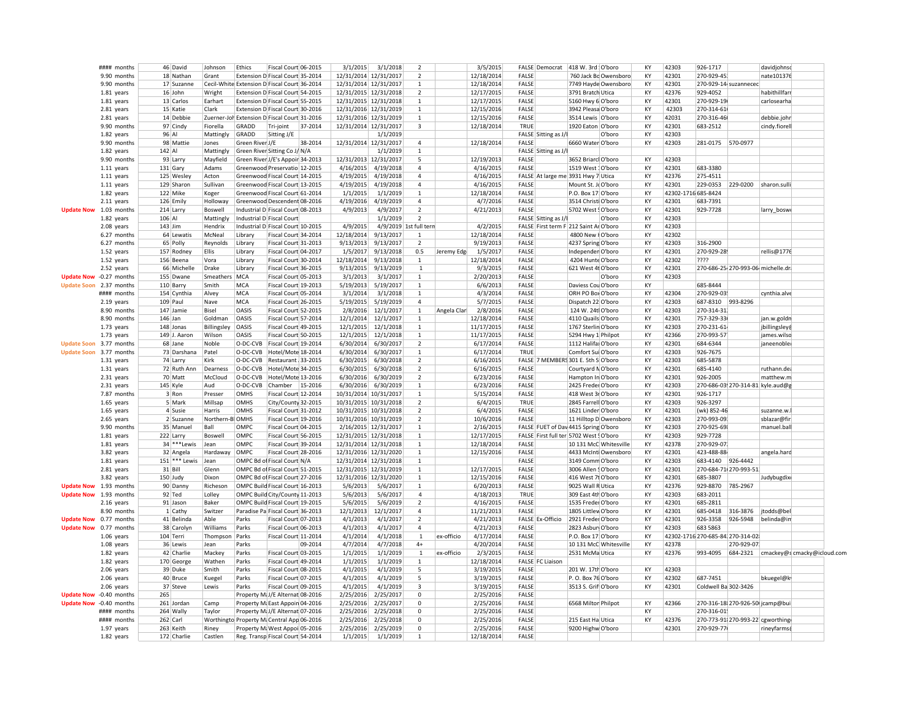|                         | #### months            |         | 46 David                   | Johnson         | Ethics                                       | Fiscal Court 06-2015 |         | 3/1/2015              | 3/1/2018  | $\mathcal{P}$          |              | 3/5/2015   |              | FALSE Democrat      | 418 W. 3rd O'boro                       | KY | 42303                            | 926-1717              |            | davidjohnsc                        |                                      |
|-------------------------|------------------------|---------|----------------------------|-----------------|----------------------------------------------|----------------------|---------|-----------------------|-----------|------------------------|--------------|------------|--------------|---------------------|-----------------------------------------|----|----------------------------------|-----------------------|------------|------------------------------------|--------------------------------------|
|                         | 9.90 months            |         | 18 Nathan                  | Grant           | Extension D Fiscal Court 35-2014             |                      |         | 12/31/2014 12/31/2017 |           | $\mathcal{P}$          |              | 12/18/2014 | FALSE        |                     | 760 Jack Bc Owensboro                   | KY | 42301                            | 270-929-45            |            | nate101376                         |                                      |
|                         | 9.90 months            |         | 17 Suzanne                 |                 | Cecil-White Extension D Fiscal Court 36-2014 |                      |         | 12/31/2014 12/31/2017 |           | 1                      |              | 12/18/2014 | FALSE        |                     | 7749 Hayde Owensboro                    | КY | 42301                            | 270-929-14 suzannecec |            |                                    |                                      |
|                         | 1.81 years             |         | 16 John                    | Wright          | Extension D Fiscal Court 54-2015             |                      |         | 12/31/2015 12/31/2018 |           | $\overline{2}$         |              | 12/17/2015 | FALSE        |                     | 3791 Bratch Utica                       | KY | 42376                            | 929-4052              |            | habithillfarr                      |                                      |
|                         | 1.81 years             |         | 13 Carlos                  | Earhart         | Extension D Fiscal Court 55-2015             |                      |         | 12/31/2015 12/31/2018 |           | $\mathbf{1}$           |              | 12/17/2015 | FALSE        |                     | 5160 Hwy 6 O'boro                       | KY | 42301                            | 270-929-19            |            | carlosearha                        |                                      |
|                         | 2.81 years             |         | 15 Katie                   | Clark           | Extension D Fiscal Court 30-2016             |                      |         | 12/31/2016 12/31/2019 |           | 1                      |              | 12/15/2016 | FALSE        |                     | 3942 Pleasa O'boro                      | КY | 42303                            | 270-314-61            |            |                                    |                                      |
|                         | 2.81 years             |         | 14 Debbie                  |                 | Zuerner-Joh Extension D Fiscal Court 31-2016 |                      |         | 12/31/2016 12/31/2019 |           | 1                      |              | 12/15/2016 | FALSE        |                     | 3514 Lewis O'boro                       | KY | 42031                            | 270-316-46            |            | debbie.john                        |                                      |
|                         |                        |         |                            | Fiorella        |                                              |                      |         |                       |           | 3                      |              |            | TRUE         |                     |                                         | KY | 42301                            |                       |            |                                    |                                      |
|                         | 9.90 months            |         | 97 Cindy                   |                 | GRADD                                        | Tri-joint            | 37-2014 | 12/31/2014 12/31/2017 |           |                        |              | 12/18/2014 |              |                     | 1920 Eaton O'boro                       |    |                                  | 683-2512              |            | cindy.fiorell                      |                                      |
|                         | 1.82 years             | 96 Al   |                            | Mattingly       | GRADD                                        | Sitting J/E          |         |                       | 1/1/2019  |                        |              |            |              | FALSE Sitting as J/ | O'boro                                  | KY | 42303                            |                       |            |                                    |                                      |
|                         | 9.90 months            |         | 98 Mattie                  | Jones           | Green River J/E                              |                      | 38-2014 | 12/31/2014 12/31/2017 |           | 4                      |              | 12/18/2014 | FALSE        |                     | 6660 Water O'boro                       | KY | 42303                            | 281-0175 570-0977     |            |                                    |                                      |
|                         | 1.82 years             | 142 Al  |                            | Mattingly       | Green River Sitting Co J/ N/A                |                      |         |                       | 1/1/2019  | $\mathbf{1}$           |              |            |              | FALSE Sitting as J/ |                                         |    |                                  |                       |            |                                    |                                      |
|                         | 9.90 months            |         | 93 Larry                   | Mayfield        | Green River J/E's Appoir 34-2013             |                      |         | 12/31/2013 12/31/2017 |           | 5                      |              | 12/19/2013 | FALSE        |                     | 3652 Briarcl O'boro                     | KY | 42303                            |                       |            |                                    |                                      |
|                         | 1.11 years             |         | 131 Gary                   | Adams           | Greenwood Preservatio 12-2015                |                      |         | 4/16/2015             | 4/19/2018 | 4                      |              | 4/16/2015  | FALSE        |                     | 1519 West : O'boro                      | KY | 42301                            | 683-3380              |            |                                    |                                      |
|                         | 1.11 years             |         | 125 Wesley                 | Acton           | Greenwood Fiscal Court 14-2015               |                      |         | 4/19/2015             | 4/19/2018 | 4                      |              | 4/16/2015  |              |                     | FALSE At large me 3931 Hwy 7 Utica      | KY | 42376                            | 275-4511              |            |                                    |                                      |
|                         | 1.11 years             |         | 129 Sharon                 | Sullivan        | Greenwood Fiscal Court 13-2015               |                      |         | 4/19/2015             | 4/19/2018 | 4                      |              | 4/16/2015  | FALSE        |                     | Mount St. J. O'boro                     | КY | 42301                            | 229-0353              | 229-0200   | sharon.sulli                       |                                      |
|                         | 1.82 years             |         | 122 Mike                   | Koger           | Greenwood Fiscal Court 61-2014               |                      |         | 1/1/2015              | 1/1/2019  | 1                      |              | 12/18/2014 | FALSE        |                     | P.O. Box 17 O'boro                      | KY | 42302-1716 685-8424              |                       |            |                                    |                                      |
|                         | 2.11 years             |         | 126 Emily                  | Holloway        | Greenwood Descendent 08-2016                 |                      |         | 4/19/2016             | 4/19/2019 | $\overline{4}$         |              | 4/7/2016   | FALSE        |                     | 3514 Christi O'boro                     | KY | 42301                            | 683-7391              |            |                                    |                                      |
| Update Now 1.03 month:  |                        |         | 214 Larry                  | Boswell         | Industrial D Fiscal Court 08-2013            |                      |         | 4/9/2013              | 4/9/2017  | $\mathcal{L}$          |              | 4/21/2013  | FALSE        |                     | 5702 West ! O'boro                      | KY | 42301                            | 929-7728              |            | larry_boswe                        |                                      |
|                         | 1.82 years             | 106 Al  |                            | Mattingly       | Industrial D Fiscal Court                    |                      |         |                       | 1/1/2019  | $\overline{2}$         |              |            |              | FALSE Sitting as J/ | O'boro                                  | KY | 42303                            |                       |            |                                    |                                      |
|                         | 2.08 years             | 143 Jim |                            | Hendrix         | Industrial D Fiscal Court 10-2015            |                      |         | 4/9/2015              |           | 4/9/2019 1st full tern |              | 4/2/2015   |              |                     | FALSE First term F 212 Saint Ai O'boro  | KY | 42303                            |                       |            |                                    |                                      |
|                         | 6.27 months            |         | 64 Lewatis                 | McNeal          | Library                                      | Fiscal Court 34-2014 |         | 12/18/2014            | 9/13/2017 | $\mathbf{1}$           |              | 12/18/2014 | FALSE        |                     | 4800 New I O'boro                       | KY | 42302                            |                       |            |                                    |                                      |
|                         | 6.27 months            |         | 65 Polly                   | Reynolds        | Library                                      | Fiscal Court 31-2013 |         | 9/13/2013             | 9/13/2017 | $\overline{2}$         |              | 9/19/2013  | FALSE        |                     | 4237 Spring O'boro                      | KY | 42303                            | 316-2900              |            |                                    |                                      |
|                         | 1.52 years             |         | 157 Rodney                 | <b>Ellis</b>    | Library                                      | Fiscal Court 04-2017 |         | 1/5/2017              | 9/13/2018 | 0.5                    | Jeremy Edgi  | 1/5/2017   | FALSE        |                     | Independer O'boro                       | KY | 42301                            | 270-929-28            |            | rellis@1776                        |                                      |
|                         | 1.52 years             |         | 156 Beena                  | Vora            | Library                                      | Fiscal Court 30-2014 |         | 12/18/2014            | 9/13/2018 | $\mathbf{1}$           |              | 12/18/2014 | FALSE        |                     | 4204 Hunte O'boro                       | KY | 42302                            | ????                  |            |                                    |                                      |
|                         | 2.52 years             |         | 66 Michelle                | Drake           | Library                                      | Fiscal Court 36-2015 |         | 9/13/2015             | 9/13/2019 | 1                      |              | 9/3/2015   | FALSE        |                     | 621 West 41 O'boro                      | KY | 42301                            |                       |            | 270-686-25 270-993-06 michelle.dra |                                      |
| Update Now -0.27 months |                        |         | 155 Dwane                  | Smeathers       | MCA                                          | Fiscal Court 05-2013 |         | 3/1/2013              | 3/1/2017  | $\mathbf{1}$           |              | 2/20/2013  | FALSE        |                     | O'boro                                  | KY | 42303                            |                       |            |                                    |                                      |
| Update Soon 2.37 months |                        |         | 110 Barry                  | Smith           | MCA                                          | Fiscal Court 19-2013 |         | 5/19/2013             | 5/19/2017 | $\mathbf{1}$           |              | 6/6/2013   | FALSE        |                     | Daviess Cou O'boro                      | KY |                                  | 685-8444              |            |                                    |                                      |
|                         | #### months            |         | 154 Cynthia                | Alvey           | <b>MCA</b>                                   | Fiscal Court 05-2014 |         | 3/1/2014              | 3/1/2018  | $\mathbf{1}$           |              | 4/3/2014   | FALSE        |                     | ORH PO Box O'boro                       | KY | 42304                            | 270-929-03            |            | cynthia.alve                       |                                      |
|                         | 2.19 years             |         | $109$ Paul                 | Nave            | <b>MCA</b>                                   | Fiscal Court 26-2015 |         | 5/19/2015             | 5/19/2019 | 4                      |              | 5/7/2015   | FALSE        |                     | Dispatch 22 O'boro                      | KY | 42303                            | 687-8310 993-8296     |            |                                    |                                      |
|                         | 8.90 months            |         | 147 Jamie                  | <b>Bisel</b>    | <b>OASIS</b>                                 | Fiscal Court 52-2015 |         | 2/8/2016              | 12/1/2017 | $1\,$                  | Angela Clarl | 2/8/2016   | FALSE        |                     | 124 W. 24t O'boro                       | KY | 42303                            | 270-314-31            |            |                                    |                                      |
|                         | 8.90 months            | 146 Jan |                            | Goldman         | <b>OASIS</b>                                 | Fiscal Court 57-2014 |         | 12/1/2014             | 12/1/2017 | $\mathbf{1}$           |              | 12/18/2014 | FALSE        |                     | 4110 Quails O'boro                      | KY | 42301                            | 757-329-33            |            | jan.w.goldn                        |                                      |
|                         | 1.73 years             |         | 148 Jonas                  | Billingsley     | <b>OASIS</b>                                 | Fiscal Court 49-2015 |         | 12/1/2015             | 12/1/2018 | $\mathbf{1}$           |              | 11/17/2015 | FALSE        |                     | 1767 Sterlin O'boro                     | KY | 42303                            | 270-231-61            |            | jbillingsley@                      |                                      |
|                         | 1.73 years             |         | 149 J. Aaron               | Wilson          | <b>OASIS</b>                                 | Fiscal Court 50-2015 |         | 12/1/2015             | 12/1/2018 | $\mathbf{1}$           |              | 11/17/2015 | FALSE        |                     | 5294 Hwy 1 Philpot                      | КY | 42366                            | 270-993-57            |            | james.wilso                        |                                      |
| Update Soon 3.77 months |                        |         | 68 Jane                    | Noble           | O-DC-CVB Fiscal Court 19-2014                |                      |         | 6/30/2014             | 6/30/2017 | $\overline{2}$         |              | 6/17/2014  | FALSE        |                     | 1112 Halifa: O'boro                     | KY | 42301                            | 684-6344              |            | janeenoble                         |                                      |
| Update Soon 3.77 months |                        |         | 73 Darshana                | Patel           | O-DC-CVB Hotel/Mote 18-2014                  |                      |         | 6/30/2014             | 6/30/2017 | $\mathbf{1}$           |              | 6/17/2014  | TRUE         |                     | Comfort Sui O'boro                      | KY | 42303                            | 926-7675              |            |                                    |                                      |
|                         | 1.31 years             |         | 74 Larry                   | Kirk            | O-DC-CVB Restaurant 33-2015                  |                      |         | 6/30/2015             | 6/30/2018 | $\overline{2}$         |              | 6/16/2015  |              |                     | FALSE 7 MEMBERS 301 E. 5th S O'boro     | KY | 42303                            | 685-5878              |            |                                    |                                      |
|                         | 1.31 years             |         | 72 Ruth Ann                | Dearness        | O-DC-CVB Hotel/Mote 34-2015                  |                      |         | 6/30/2015             | 6/30/2018 | $\overline{2}$         |              | 6/16/2015  | FALSE        |                     | Courtyard NO'boro                       | KY | 42301                            | 685-4140              |            | ruthann.dea                        |                                      |
|                         | 2.31 years             |         | 70 Matt                    | McCloud         | O-DC-CVB                                     | Hotel/Mote 13-2016   |         | 6/30/2016             | 6/30/2019 | $\overline{2}$         |              | 6/23/2016  | FALSE        |                     | Hampton In O'boro                       | KY | 42301                            | 926-2005              |            | matthew.m                          |                                      |
|                         |                        |         |                            | Aud             | O-DC-CVB Chamber 15-2016                     |                      |         |                       |           | $\mathbf{1}$           |              | 6/23/2016  | FALSE        |                     | 2425 Freder O'boro                      | KY | 42303                            |                       |            | 270-686-03 270-314-81 kyle.aud@g   |                                      |
|                         | 2.31 years             |         | 145 Kyle                   |                 |                                              |                      |         | 6/30/2016             | 6/30/2019 |                        |              |            |              |                     |                                         |    |                                  |                       |            |                                    |                                      |
|                         | 7.87 months            |         | 3 Ron                      | Presser         | <b>OMHS</b>                                  | Fiscal Court 12-2014 |         | 10/31/2014 10/31/2017 |           | $\mathbf{1}$           |              | 5/15/2014  | FALSE        |                     | 418 West 3r O'boro                      | KY | 42301                            | 926-1717              |            |                                    |                                      |
|                         | 1.65 years             |         | 5 Mark                     | Millsap         | <b>OMHS</b>                                  | City/County 32-2015  |         | 10/31/2015 10/31/2018 |           | $\overline{2}$         |              | 6/4/2015   | TRUE         |                     | 2845 Farrell O'boro                     | KY | 42303                            | 926-3297              |            |                                    |                                      |
|                         | 1.65 years             |         | 4 Susie                    | Harris          | OMHS                                         | Fiscal Court 31-2012 |         | 10/31/2015 10/31/2018 |           | $\overline{2}$         |              | 6/4/2015   | FALSE        |                     | 1621 Linder O'boro                      | KY | 42301                            | (wk) 852-46           |            | suzanne.w.l                        |                                      |
|                         | 2.65 years             |         | 2 Suzanne                  | Northern-B OMHS |                                              | Fiscal Court 19-2016 |         | 10/31/2016 10/31/2019 |           | $\overline{2}$         |              | 10/6/2016  | FALSE        |                     | 11 Hilltop D Owensboro                  | КY | 42303                            | 270-993-09            |            | sblazar@fir                        |                                      |
|                         | 9.90 months            |         | 35 Manuel                  | Ball            | OMPC                                         | Fiscal Court 04-2015 |         | 2/16/2015 12/31/2017  |           | $\mathbf{1}$           |              | 2/16/2015  |              |                     | FALSE FUET of Dav 4415 Spring O'boro    | KY | 42303                            | 270-925-69            |            | manuel.ball                        |                                      |
|                         | 1.81 years             |         | 222 Larry                  | Boswell         | OMPC                                         | Fiscal Court 56-2015 |         | 12/31/2015 12/31/2018 |           | $\mathbf{1}$           |              | 12/17/2015 |              |                     | FALSE First full ter 5702 West   O'boro | KY | 42303                            | 929-7728              |            |                                    |                                      |
|                         | 1.81 years             |         | 34 *** Lewis               | Jean            | OMPC                                         | Fiscal Court 39-2014 |         | 12/31/2014 12/31/2018 |           | $\mathbf{1}$           |              | 12/18/2014 | FALSE        |                     | 10 131 McC Whitesville                  | КY | 42378                            | 270-929-07            |            |                                    |                                      |
|                         | 3.82 years             |         | 32 Angela                  | Hardaway        | OMPC                                         | Fiscal Court 28-2016 |         | 12/31/2016 12/31/2020 |           | $\mathbf{1}$           |              | 12/15/2016 | FALSE        |                     | 4433 McInti Owensboro                   | KY | 42301                            | 423-488-88            |            | angela.hard                        |                                      |
|                         | 1.81 years             |         | $151$ <sup>***</sup> Lewis | Jean            | OMPC Bd of Fiscal Court N/A                  |                      |         | 12/31/2014 12/31/2018 |           | $\mathbf{1}$           |              |            | FALSE        |                     | 3149 Comm O'boro                        | KY | 42303                            | 683-4140 926-4442     |            |                                    |                                      |
|                         | 2.81 years             |         | $31$ Bill                  | Glenn           | OMPC Bd of Fiscal Court 51-2015              |                      |         | 12/31/2015 12/31/2019 |           | 1                      |              | 12/17/2015 | FALSE        |                     | 3006 Allen 9 O'boro                     | KY | 42301                            | 270-684-71 270-993-51 |            |                                    |                                      |
|                         | 3.82 years             |         | $150$ Judy                 | Dixon           | OMPC Bd of Fiscal Court 27-2016              |                      |         | 12/31/2016 12/31/2020 |           | $\mathbf{1}$           |              | 12/15/2016 | FALSE        |                     | 416 West 71 O'boro                      | KY | 42301                            | 685-3807              |            | Judybugdixo                        |                                      |
| Update Now 1.93 months  |                        |         | 90 Danny                   | Richeson        | OMPC Build Fiscal Court 16-2013              |                      |         | 5/6/2013              | 5/6/2017  | $\mathbf{1}$           |              | 6/20/2013  | FALSE        |                     | 9025 Wall R Utica                       | КY | 42376                            | 929-8870              | 785-2967   |                                    |                                      |
|                         | Update Now 1.93 months |         | 92 Ted                     | Lolley          | OMPC Build City/County 11-2013               |                      |         | 5/6/2013              | 5/6/2017  | $\overline{a}$         |              | 4/18/2013  | <b>TRUE</b>  |                     | 309 East 4th O'boro                     | КY | 42303                            | 683-2011              |            |                                    |                                      |
|                         | 2.16 years             |         | 91 Jason                   | Baker           | OMPC Build Fiscal Court 19-2015              |                      |         | 5/6/2015              | 5/6/2019  | 2                      |              | 4/16/2015  | FALSE        |                     | 1535 Freder O'boro                      | KY | 42301                            | 685-2811              |            |                                    |                                      |
|                         | 8.90 months            |         | $1$ Cathy                  | Switzer         | Paradise Pa Fiscal Court 36-2013             |                      |         | 12/1/2013             | 12/1/2017 | 4                      |              | 11/21/2013 | <b>FALSE</b> |                     | 1805 Littlew O'boro                     | KY | 42301                            | 685-0418              | 316-3876   | jtodds@bel                         |                                      |
| Update Now 0.77 months  |                        |         | 41 Belinda                 | Able            | Parks                                        | Fiscal Court 07-2013 |         | 4/1/2013              | 4/1/2017  | $\overline{2}$         |              | 4/21/2013  |              | FALSE Ex-Officio    | 2921 Freder O'boro                      | KY | 42301                            | 926-3358              | 926-5948   | belinda@in                         |                                      |
|                         | Update Now 0.77 months |         | 38 Carolyn                 | Williams        | Parks                                        | Fiscal Court 06-2013 |         | 4/1/2013              | 4/1/2017  | 4                      |              | 4/21/2013  | FALSE        |                     | 2823 Asbur O'boro                       | KY | 42303                            | 683 5863              |            |                                    |                                      |
|                         | 1.06 years             |         | 104 Terri                  | Thompson        | Parks                                        | Fiscal Court 11-2014 |         | 4/1/2014              | 4/1/2018  | $\mathbf 1$            | ex-officio   | 4/17/2014  | FALSE        |                     | P.O. Box 17 O'boro                      | KY | 42302-1716 270-685-84 270-314-02 |                       |            |                                    |                                      |
|                         | 1.08 years             |         | 36 Lewis                   | Jean            | Parks                                        |                      | 09-2014 | 4/7/2014              | 4/7/2018  | $4+$                   |              | 4/20/2014  | FALSE        |                     | 10 131 McC Whitesville                  | КY | 42378                            |                       | 270-929-07 |                                    |                                      |
|                         | 1.82 years             |         | 42 Charlie                 | Mackey          | Parks                                        | Fiscal Court 03-2015 |         | 1/1/2015              | 1/1/2019  | $\mathbf{1}$           | ex-officio   | 2/3/2015   | FALSE        |                     | 2531 McMa Utica                         | KY | 42376                            | 993-4095              |            |                                    | 684-2321 cmackey@s cmacky@icloud.com |
|                         | 1.82 years             |         | 170 George                 | Wathen          | Parks                                        | Fiscal Court 49-2014 |         | 1/1/2015              | 1/1/2019  | $\mathbf{1}$           |              | 12/18/2014 |              | FALSE FC Liaison    |                                         |    |                                  |                       |            |                                    |                                      |
|                         | 2.06 years             |         | 39 Duke                    | Smith           | Parks                                        | Fiscal Court 08-2015 |         | 4/1/2015              | 4/1/2019  | 5                      |              | 3/19/2015  | FALSE        |                     | 201 W. 17th O'boro                      | KY | 42303                            |                       |            |                                    |                                      |
|                         | 2.06 years             |         | 40 Bruce                   | Kuegel          | Parks                                        | Fiscal Court 07-2015 |         | 4/1/2015              | 4/1/2019  | 5                      |              | 3/19/2015  | FALSE        |                     | P.O. Box 76 O'boro                      | KY | 42302                            | 687-7451              |            | bkuegel@k                          |                                      |
|                         | 2.06 years             |         | 37 Steve                   | Lewis           | Parks                                        | Fiscal Court 09-2015 |         | 4/1/2015              | 4/1/2019  | $\overline{3}$         |              | 3/19/2015  | FALSE        |                     | 3513 S. Grif O'boro                     | KY | 42301                            | Coldwell Ba 302-3426  |            |                                    |                                      |
| Update Now -0.40 months |                        | 265     |                            |                 | Property M. J/E Alternat 08-2016             |                      |         | 2/25/2016             | 2/25/2017 | 0                      |              | 2/25/2016  | FALSE        |                     |                                         |    |                                  |                       |            |                                    |                                      |
| Update Now -0.40 months |                        |         | 261 Jordan                 | Camp            | Property M. East Appoin 04-2016              |                      |         | 2/25/2016             | 2/25/2017 | 0                      |              | 2/25/2016  | FALSE        |                     | 6568 Miltor Philpot                     | KY | 42366                            |                       |            | 270-316-18 270-926-50 jcamp@buil   |                                      |
|                         | #### months            |         | 264 Wally                  | Taylor          | Property M. J/E Alternat 07-2016             |                      |         | 2/25/2016             | 2/25/2018 | $\mathbf 0$            |              | 2/25/2016  | FALSE        |                     |                                         | KY |                                  | 270-316-01            |            |                                    |                                      |
|                         | #### months            |         | $262$ Carl                 |                 | Worthingto Property M. Central App 06-2016   |                      |         | 2/25/2016             | 2/25/2018 | $\Omega$               |              | 2/25/2016  | FALSE        |                     | 215 East Ha Utica                       | KY | 42376                            |                       |            | 270-773-91 270-993-22 cgworthing   |                                      |
|                         | 1.97 years             |         | 263 Keith                  | Riney           | Property M. West Appoi 05-2016               |                      |         | 2/25/2016             | 2/25/2019 | 0                      |              | 2/25/2016  | FALSE        |                     | 9200 Highw O'boro                       |    | 42301                            | 270-929-77            |            | rineyfarms(                        |                                      |
|                         | 1.82 years             |         | 172 Charlie                | Castlen         |                                              |                      |         | 1/1/2015              | 1/1/2019  | $\mathbf{1}$           |              | 12/18/2014 | FALSE        |                     |                                         |    |                                  |                       |            |                                    |                                      |
|                         |                        |         |                            |                 | Reg. Transp Fiscal Court 54-2014             |                      |         |                       |           |                        |              |            |              |                     |                                         |    |                                  |                       |            |                                    |                                      |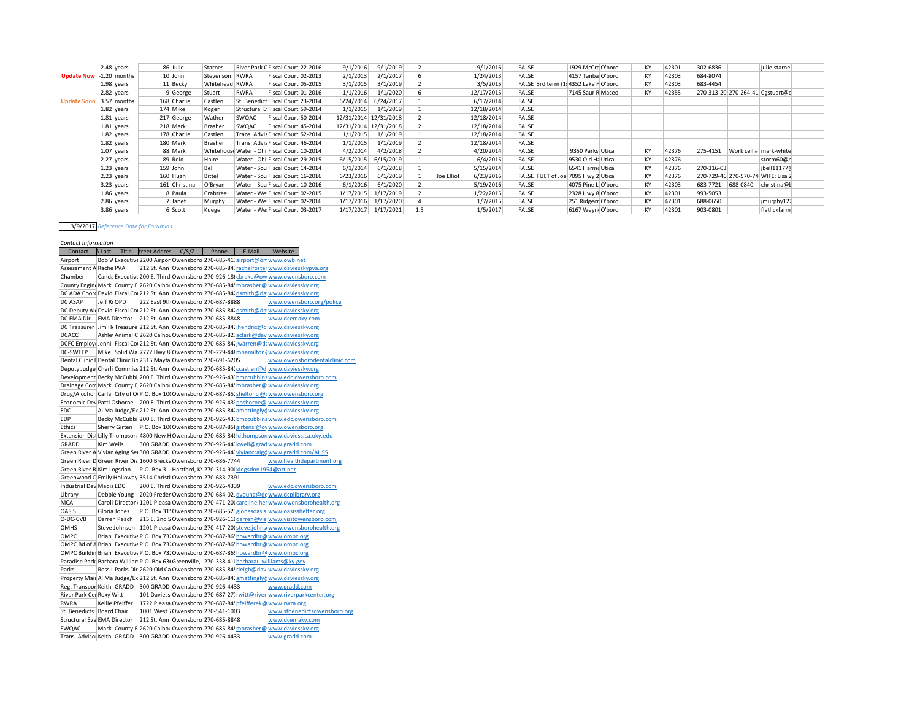|                    | 2.48 years              |          | 86 Julie      | Starnes        | River Park C Fiscal Court 22-2016           |                      | 9/1/2016              | 9/1/2019  |     |            | 9/1/2016   | <b>FALSE</b>                         | 1929 McCre O'boro  | KY | 42301 | 302-6836   |                                    | julie.starnes |  |
|--------------------|-------------------------|----------|---------------|----------------|---------------------------------------------|----------------------|-----------------------|-----------|-----|------------|------------|--------------------------------------|--------------------|----|-------|------------|------------------------------------|---------------|--|
|                    | Update Now -1.20 months |          | 10 John       | Stevenson      | RWRA                                        | Fiscal Court 02-2013 | 2/1/2013              | 2/1/2017  |     |            | 1/24/2013  | <b>FALSE</b>                         | 4157 Tanba O'boro  | KY | 42303 | 684-8074   |                                    |               |  |
|                    | 1.98 years              |          | 11 Becky      | Whitehead RWRA |                                             | Fiscal Court 05-2015 | 3/1/2015              | 3/1/2019  |     |            | 3/5/2015   | FALSE 3rd term (1 4352 Lake F O'boro |                    | KY | 42303 | 683-4454   |                                    |               |  |
|                    | 2.82 years              |          | 9 George      | Stuart         | RWRA                                        | Fiscal Court 01-2016 | 1/1/2016              | 1/1/2020  |     |            | 12/17/2015 | <b>FALSE</b>                         | 7145 Saur R Maceo  | KY | 42355 |            | 270-313-20 270-264-41 Cgstuart@c   |               |  |
| <b>Update Soon</b> | 3.57 months             |          | 168 Charlie   | Castlen        | St. Benedict Fiscal Court 23-2014           |                      | 6/24/2014             | 6/24/2017 |     |            | 6/17/2014  | <b>FALSE</b>                         |                    |    |       |            |                                    |               |  |
|                    | 1.82 years              |          | 174 Mike      | Koger          | Structural E Fiscal Court 59-2014           |                      | 1/1/2015              | 1/1/2019  |     |            | 12/18/2014 | <b>FALSE</b>                         |                    |    |       |            |                                    |               |  |
|                    | 1.81 years              |          | 217 George    | Wathen         | SWOAC                                       | Fiscal Court 50-2014 | 12/31/2014 12/31/2018 |           |     |            | 12/18/2014 | <b>FALSE</b>                         |                    |    |       |            |                                    |               |  |
|                    | 1.81 years              |          | 218 Mark      | Brasher        | SWQAC                                       | Fiscal Court 45-2014 | 12/31/2014 12/31/2018 |           |     |            | 12/18/2014 | <b>FALSE</b>                         |                    |    |       |            |                                    |               |  |
|                    | 1.82 years              |          | 178 Charlie   | Castlen        | Trans. Advis Fiscal Court 52-2014           |                      | 1/1/2015              | 1/1/2019  |     |            | 12/18/2014 | <b>FALSE</b>                         |                    |    |       |            |                                    |               |  |
|                    | 1.82 years              |          | 180 Mark      | Brasher        | Trans. Advis Fiscal Court 46-2014           |                      | 1/1/2015              | 1/1/2019  |     |            | 12/18/2014 | <b>FALSE</b>                         |                    |    |       |            |                                    |               |  |
|                    | $1.07$ years            |          | 88 Mark       |                | Whitehouse Water - Ohi Fiscal Court 10-2014 |                      | 4/2/2014              | 4/2/2018  |     |            | 4/20/2014  | <b>FALSE</b>                         | 9350 Parks Utica   | KY | 42376 | 275-4151   | Work cell # mark-white             |               |  |
|                    | 2.27 years              |          | 89 Reid       | Haire          | Water - Ohil Fiscal Court 29-2015           |                      | 6/15/2015             | 6/15/2019 |     |            | 6/4/2015   | <b>FALSE</b>                         | 9530 Old Ha Utica  | KY | 42376 |            |                                    | storm60@n     |  |
|                    | $1.23$ years            | 159 John |               | Bell           | Water - Sou Fiscal Court 14-2014            |                      | 6/1/2014              | 6/1/2018  |     |            | 5/15/2014  | <b>FALSE</b>                         | 6541 Harmd Utica   | KY | 42376 | 270-316-03 |                                    | ibell111776   |  |
|                    | 2.23 years              |          | $160$ Hugh    | <b>Bittel</b>  | Water - Sou Fiscal Court 16-2016            |                      | 6/23/2016             | 6/1/2019  |     | Joe Elliot | 6/23/2016  | FALSE FUET of Joe 7095 Hwy 2 Utica   |                    | KY | 42376 |            | 270-729-46 270-570-74 WIFE: Lisa 2 |               |  |
|                    | 3.23 years              |          | 161 Christina | O'Bryan        | Water - Sou Fiscal Court 10-2016            |                      | 6/1/2016              | 6/1/2020  |     |            | 5/19/2016  | <b>FALSE</b>                         | 4075 Pine L O'boro | KY | 42303 | 683-7721   | 688-0840                           | christina@b   |  |
|                    | $1.86$ years            |          | 8 Paula       | Crabtree       | Water - We Fiscal Court 02-2015             |                      | 1/17/2015             | 1/17/2019 |     |            | 1/22/2015  | <b>FALSE</b>                         | 2328 Hwy 8 O'boro  | KY | 42301 | 993-5053   |                                    |               |  |
|                    | 2.86 years              |          | 7 Janet       | Murphy         | Water - We Fiscal Court 02-2016             |                      | 1/17/2016             | 1/17/2020 |     |            | 1/7/2015   | <b>FALSE</b>                         | 251 Ridgecr O'boro | KY | 42301 | 688-0650   |                                    | jmurphy122    |  |
|                    | 3.86 years              |          | 6 Scott       | Kuegel         | Water - We Fiscal Court 03-2017             |                      | 1/17/2017             | 1/17/2021 | 1.5 |            | 1/5/2017   | <b>FALSE</b>                         | 6167 Wayn O'boro   | KY | 42301 | 903-0801   |                                    | flatlickfarm: |  |

## 3/9/2017 *Reference Date for Forumlas*

*Contact Information* Contact & Last Title treet Addres C/S/Z Phone E-Mail Website Airport Bob V Executive 2200 Airpor Owensboro 270-685-41 airport@on www.owb.ne Assessment A Rache PVA 212 St. Ann Owensboro 270-685-84' rachelfoster [www.daviesskypva.org](http://www.daviesskypva.org/) Chamber Canda Executive 200 E. Third Owensboro 270-926-18 chrake@ow [www.owensboro.com](http://www.owensboro.com/) County Engine Mark County E 2620 Calhou Owensboro 270-685-84! mbrasher@ [www.daviessky.org](http://www.daviessky.org/) DC ADA Coord David Fiscal Cou 212 St. Ann Owensboro 270-685-84. dsmith@da www.daviessky.org DC ASAP Jeff Ri OPD 222 East 9th Owensboro 270-687-8888 [www.owensboro.org/police](http://www.owensboro.org/police) DC Deputy Alc David Fiscal Cou212 St. Ann Owensboro 270-685-84: dsmith@da www.daviessky.org<br>DC EMA Dir. EMA Director 212 St. Ann Owensboro 270-685-8848 DC EMA Dir. EMA Director 212 St. Ann Owensboro 270-685-8848 DC Treasurer Jim H<sub>1</sub> Treasure 212 St. Ann Owensboro 270-685-84: jhendrix@d [www.daviessky.org](http://www.daviessky.org/) DCACC Ashley Animal C 2620 Calhou Owensboro 270-685-82 aclark@dav [www.daviessky.org](http://www.daviessky.org/) DCFC Employe Jenni Fiscal Cou 212 St. Ann Owensboro 270-685-84: jwarren@da[www.daviessky.org](http://www.daviessky.org/) DC-SWEEP Mike Solid Wa 7772 Hwy 8 Owensboro 270-229-44: mhamilton(www.daviessky.org<br>Dental Clinic & Dental Clinic Bo 2315 Mayfa Owensboro 270-691-6205 www.owensborodent Dental Clinic I Dental Clinic Bo 2315 Mayfa Owensboro 270-691-6205 Deputy Judge Charli Commiss 212 St. Ann Owensboro 270-685-84 ccastlen@d [www.daviessky.org](http://www.daviessky.org/) Development Becky McCubbi 200 E. Third Owensboro 270-926-43 bmccubbins [www.edc.owensboro.com](http://www.edc.owensboro.com/) Drainage Com Mark County E 2620 Calhou Owensboro 270-685-84! mbrasher@ [www.daviessky.org](http://www.daviessky.org/) Drug/Alcohol Carla City of OvP.O. Box 100 Owensboro 270-687-85. sheltoncj@[owww.owensboro.org](http://www.owensboro.org/) Economic Dev Patti Osborne 200 E. Third Owensboro 270-926-43: posborne@ [www.daviessky.org](http://www.daviessky.org/) EDC Al Ma Judge/Ex 212 St. Ann Owensboro 270-685-84. amattingly@[www.daviessky.org](http://www.daviessky.org/) EDP Becky McCubbi 200 E. Third Owensboro 270-926-43: bmccubbins [www.edc.owensboro.com](http://www.edc.owensboro.com/) Ethics Sherry Girten P.O. Box 100 Owensboro 270-687-85¦ girtensl@ov [www.owensboro.org](http://www.owensboro.org/) Extension Distuilly Thompson 4800 New H Owensboro 270-685-84: *ldthompson [www.daviess.ca.uky.edu](http://www.daviess.ca.uky.edu/)*<br>GRADD Kim Wells 300 GRADD Owensboro 270-926-44: kwell@grad www.gradd.com Kim Wells 300 GRADD Owensboro 270-926-44: kwell@grad [www.gradd.com](http://www.gradd.com/) Green River A Viviar Aging Ser 300 GRADD Owensboro 270-926-44: viviancraig@[www.gradd.com/AHSS](http://www.gradd.com/AHSS)<br>Green River D Green River Dis 1600 Brecke Owensboro 270-686-7744 www.healthdepartment.org Green River D Green River Dis 1600 Brecke Owensboro 270-686-7744 Green River R Kim Logsdon P.O. Box 3 Hartford, KY 270-314-9[0 klogsdon1954@att.net](mailto:klogsdon1954@att.net) Greenwood C Emily Holloway 3514 Christi Owensboro 270-683-7391 Industrial Dev Madis EDC 200 E. Third Owensboro 270-926-4339 [www.edc.owensboro.com](http://www.edc.owensboro.com/) Library Debbie Young 2020 Freder Owensboro 270-684-02: dyoung@dc[www.dcplibrary.org](http://www.dcplibrary.org/) MCA Caroli Director 1201 Pleasa Owensboro 270-471-20 caroline.her www.owensborohealth OASIS Gloria Jones P.O. Box 31! Owensboro 270-685-52 gjonesoasis [www.oasisshelter.org](http://www.oasisshelter.org/) O-DC-CVB Darren Peach 215 E. 2nd S Owensboro 270-926-11 darren@vis [www.visitowensboro.com](http://www.visitowensboro.com/) OMHS Steve Johnson 1201 Pleasa Owensboro 270-417-20 steve.johns www.owensborohealth.org OMPC Brian Executive P.O. Box 73. Owensboro 270-687-86! howardbr@[www.ompc.org](http://www.ompc.org/) OMPC Bd of A Brian Executive P.O. Box 73. Owensboro 270-687-86! howardbr@[www.ompc.org](http://www.ompc.org/) OMPC Buildin Brian Executive P.O. Box 73. Owensboro 270-687-86! howardbr@[www.ompc.org](http://www.ompc.org/) Paradise Park Barbara William P.O. Box 631 Greenville, 270-338-41 barbarau.williams@ky.gov Parks Ross L Parks Dir 2620 Old Ca Owensboro 270-685-84! rleigh@dav [www.daviessky.org](http://www.daviessky.org/) Property Main Al Ma Judge/Ex 212 St. Ann Owensboro 270-685-84: amattingly@[www.daviessky.org](http://www.daviessky.org/)<br>Reg. Transpor Keith GRADD 300 GRADD Owensboro 270-926-4433 www.gradd.com Reg. Transpor Keith GRADD 300 GRADD Owensboro 270-926-4433 River Park Cen Roxy Witt 101 Daviess Owensboro 270-687-27<sup>'</sup> rwitt@river [www.riverparkcenter.org](http://www.riverparkcenter.org/) RWRA Kellie Pfeiffer 1722 Pleasa Owensboro 270-687-84! Dreifferek@[www.rwra.org](http://www.rwra.org/)<br>St. Benedicts | Board Chair 1001 West | Owensboro 270-541-1003 www.stbenedicts St. Benedicts Board Chair 1001 West 7 Owensboro 270-541-1003 Structural Eva EMA Director 212 St. Ann Owensboro 270-685-8848 [www.dcemaky.com](http://www.dcemaky.com/) SWQAC Mark County E 2620 Calhou Owensboro 270-685-84! mbrasher@ [www.daviessky.org](http://www.daviessky.org/) |Trans. Adviso| Keith GRADD 300 GRADD Owensboro 270-926-4433 [www.gradd.com](http://www.gradd.com/)